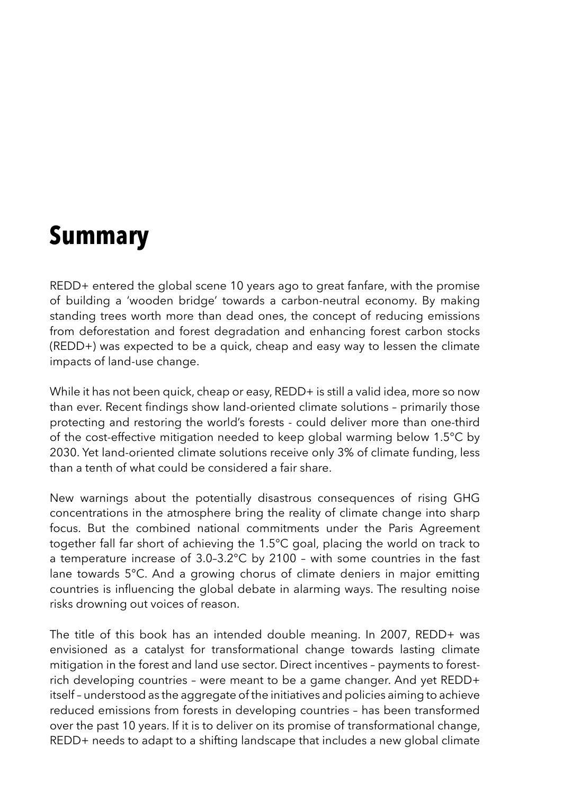## **Summary**

REDD+ entered the global scene 10 years ago to great fanfare, with the promise of building a 'wooden bridge' towards a carbon-neutral economy. By making standing trees worth more than dead ones, the concept of reducing emissions from deforestation and forest degradation and enhancing forest carbon stocks (REDD+) was expected to be a quick, cheap and easy way to lessen the climate impacts of land-use change.

While it has not been quick, cheap or easy, REDD+ is still a valid idea, more so now than ever. Recent findings show land-oriented climate solutions – primarily those protecting and restoring the world's forests - could deliver more than one-third of the cost-effective mitigation needed to keep global warming below 1.5°C by 2030. Yet land-oriented climate solutions receive only 3% of climate funding, less than a tenth of what could be considered a fair share.

New warnings about the potentially disastrous consequences of rising GHG concentrations in the atmosphere bring the reality of climate change into sharp focus. But the combined national commitments under the Paris Agreement together fall far short of achieving the 1.5°C goal, placing the world on track to a temperature increase of 3.0–3.2°C by 2100 – with some countries in the fast lane towards 5°C. And a growing chorus of climate deniers in major emitting countries is influencing the global debate in alarming ways. The resulting noise risks drowning out voices of reason.

The title of this book has an intended double meaning. In 2007, REDD+ was envisioned as a catalyst for transformational change towards lasting climate mitigation in the forest and land use sector. Direct incentives – payments to forestrich developing countries – were meant to be a game changer. And yet REDD+ itself – understood as the aggregate of the initiatives and policies aiming to achieve reduced emissions from forests in developing countries – has been transformed over the past 10 years. If it is to deliver on its promise of transformational change, REDD+ needs to adapt to a shifting landscape that includes a new global climate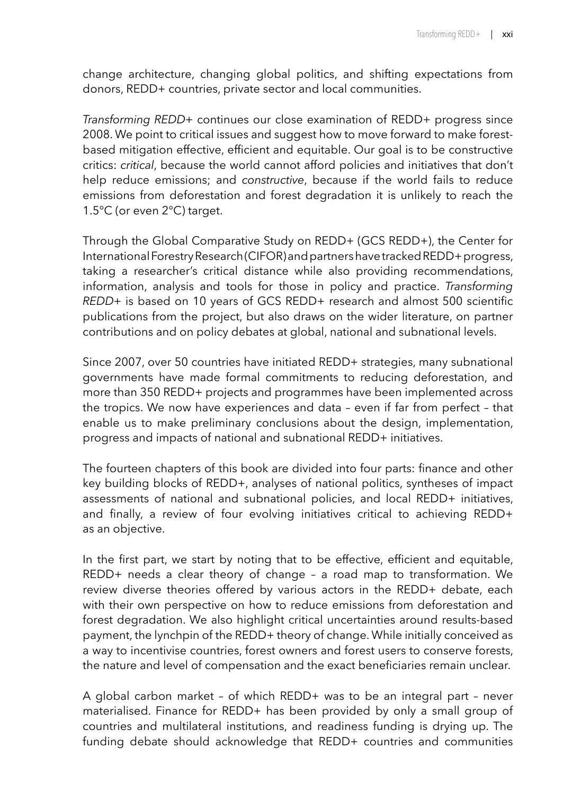change architecture, changing global politics, and shifting expectations from donors, REDD+ countries, private sector and local communities.

*Transforming REDD+* continues our close examination of REDD+ progress since 2008. We point to critical issues and suggest how to move forward to make forestbased mitigation effective, efficient and equitable. Our goal is to be constructive critics: *critical*, because the world cannot afford policies and initiatives that don't help reduce emissions; and *constructive*, because if the world fails to reduce emissions from deforestation and forest degradation it is unlikely to reach the 1.5°C (or even 2°C) target.

Through the Global Comparative Study on REDD+ (GCS REDD+), the Center for International Forestry Research (CIFOR) and partners have tracked REDD+ progress, taking a researcher's critical distance while also providing recommendations, information, analysis and tools for those in policy and practice. *Transforming REDD+* is based on 10 years of GCS REDD+ research and almost 500 scientific publications from the project, but also draws on the wider literature, on partner contributions and on policy debates at global, national and subnational levels.

Since 2007, over 50 countries have initiated REDD+ strategies, many subnational governments have made formal commitments to reducing deforestation, and more than 350 REDD+ projects and programmes have been implemented across the tropics. We now have experiences and data – even if far from perfect – that enable us to make preliminary conclusions about the design, implementation, progress and impacts of national and subnational REDD+ initiatives.

The fourteen chapters of this book are divided into four parts: finance and other key building blocks of REDD+, analyses of national politics, syntheses of impact assessments of national and subnational policies, and local REDD+ initiatives, and finally, a review of four evolving initiatives critical to achieving REDD+ as an objective.

In the first part, we start by noting that to be effective, efficient and equitable, REDD+ needs a clear theory of change – a road map to transformation. We review diverse theories offered by various actors in the REDD+ debate, each with their own perspective on how to reduce emissions from deforestation and forest degradation. We also highlight critical uncertainties around results-based payment, the lynchpin of the REDD+ theory of change. While initially conceived as a way to incentivise countries, forest owners and forest users to conserve forests, the nature and level of compensation and the exact beneficiaries remain unclear.

A global carbon market – of which REDD+ was to be an integral part – never materialised. Finance for REDD+ has been provided by only a small group of countries and multilateral institutions, and readiness funding is drying up. The funding debate should acknowledge that REDD+ countries and communities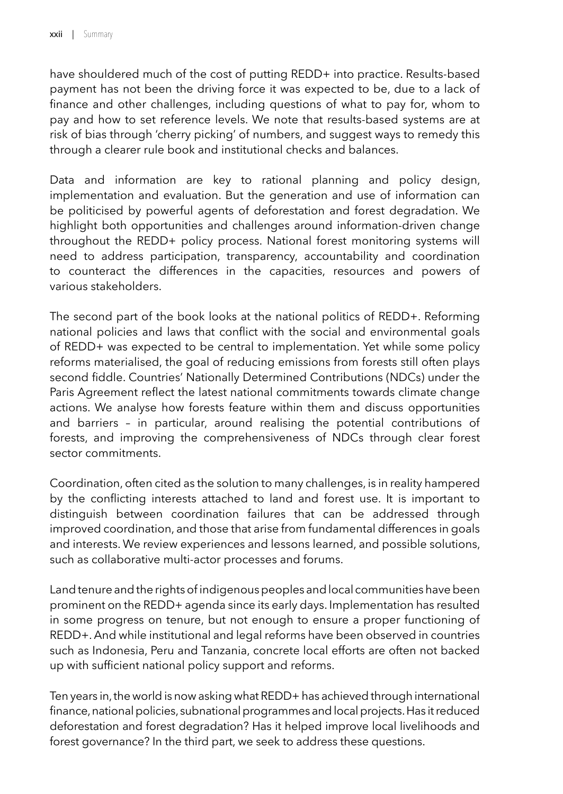have shouldered much of the cost of putting REDD+ into practice. Results-based payment has not been the driving force it was expected to be, due to a lack of finance and other challenges, including questions of what to pay for, whom to pay and how to set reference levels. We note that results-based systems are at risk of bias through 'cherry picking' of numbers, and suggest ways to remedy this through a clearer rule book and institutional checks and balances.

Data and information are key to rational planning and policy design, implementation and evaluation. But the generation and use of information can be politicised by powerful agents of deforestation and forest degradation. We highlight both opportunities and challenges around information-driven change throughout the REDD+ policy process. National forest monitoring systems will need to address participation, transparency, accountability and coordination to counteract the differences in the capacities, resources and powers of various stakeholders.

The second part of the book looks at the national politics of REDD+. Reforming national policies and laws that conflict with the social and environmental goals of REDD+ was expected to be central to implementation. Yet while some policy reforms materialised, the goal of reducing emissions from forests still often plays second fiddle. Countries' Nationally Determined Contributions (NDCs) under the Paris Agreement reflect the latest national commitments towards climate change actions. We analyse how forests feature within them and discuss opportunities and barriers – in particular, around realising the potential contributions of forests, and improving the comprehensiveness of NDCs through clear forest sector commitments.

Coordination, often cited as the solution to many challenges, is in reality hampered by the conflicting interests attached to land and forest use. It is important to distinguish between coordination failures that can be addressed through improved coordination, and those that arise from fundamental differences in goals and interests. We review experiences and lessons learned, and possible solutions, such as collaborative multi-actor processes and forums.

Land tenure and the rights of indigenous peoples and local communities have been prominent on the REDD+ agenda since its early days. Implementation has resulted in some progress on tenure, but not enough to ensure a proper functioning of REDD+. And while institutional and legal reforms have been observed in countries such as Indonesia, Peru and Tanzania, concrete local efforts are often not backed up with sufficient national policy support and reforms.

Ten years in, the world is now asking what REDD+ has achieved through international finance, national policies, subnational programmes and local projects. Has it reduced deforestation and forest degradation? Has it helped improve local livelihoods and forest governance? In the third part, we seek to address these questions.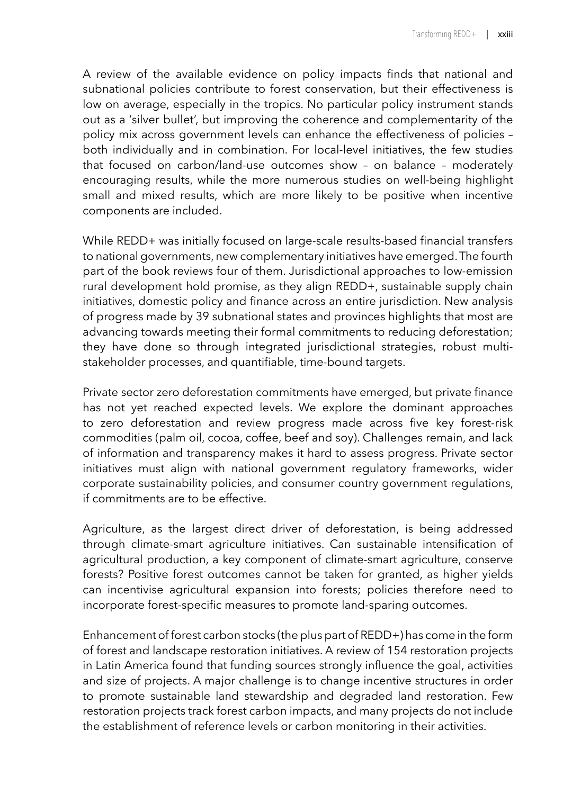A review of the available evidence on policy impacts finds that national and subnational policies contribute to forest conservation, but their effectiveness is low on average, especially in the tropics. No particular policy instrument stands out as a 'silver bullet', but improving the coherence and complementarity of the policy mix across government levels can enhance the effectiveness of policies – both individually and in combination. For local-level initiatives, the few studies that focused on carbon/land-use outcomes show – on balance – moderately encouraging results, while the more numerous studies on well-being highlight small and mixed results, which are more likely to be positive when incentive components are included.

While REDD+ was initially focused on large-scale results-based financial transfers to national governments, new complementary initiatives have emerged. The fourth part of the book reviews four of them. Jurisdictional approaches to low-emission rural development hold promise, as they align REDD+, sustainable supply chain initiatives, domestic policy and finance across an entire jurisdiction. New analysis of progress made by 39 subnational states and provinces highlights that most are advancing towards meeting their formal commitments to reducing deforestation; they have done so through integrated jurisdictional strategies, robust multistakeholder processes, and quantifiable, time-bound targets.

Private sector zero deforestation commitments have emerged, but private finance has not yet reached expected levels. We explore the dominant approaches to zero deforestation and review progress made across five key forest-risk commodities (palm oil, cocoa, coffee, beef and soy). Challenges remain, and lack of information and transparency makes it hard to assess progress. Private sector initiatives must align with national government regulatory frameworks, wider corporate sustainability policies, and consumer country government regulations, if commitments are to be effective.

Agriculture, as the largest direct driver of deforestation, is being addressed through climate-smart agriculture initiatives. Can sustainable intensification of agricultural production, a key component of climate-smart agriculture, conserve forests? Positive forest outcomes cannot be taken for granted, as higher yields can incentivise agricultural expansion into forests; policies therefore need to incorporate forest-specific measures to promote land-sparing outcomes.

Enhancement of forest carbon stocks (the plus part of REDD+) has come in the form of forest and landscape restoration initiatives. A review of 154 restoration projects in Latin America found that funding sources strongly influence the goal, activities and size of projects. A major challenge is to change incentive structures in order to promote sustainable land stewardship and degraded land restoration. Few restoration projects track forest carbon impacts, and many projects do not include the establishment of reference levels or carbon monitoring in their activities.